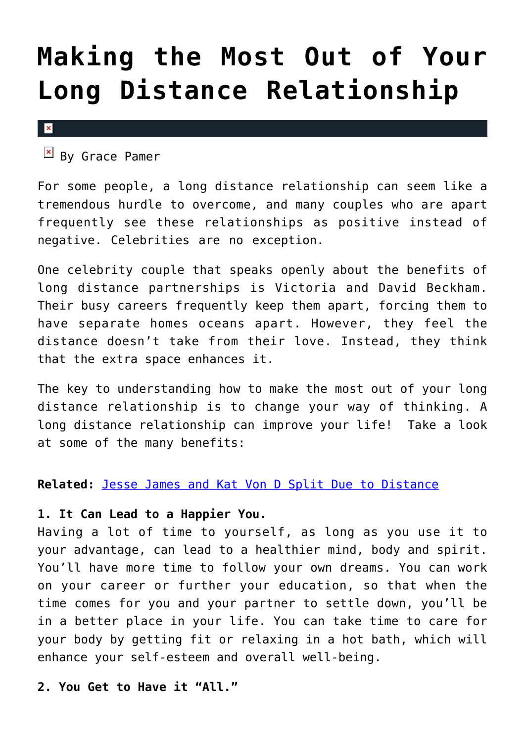# **[Making the Most Out of Your](https://cupidspulse.com/31758/relationship-advice-make-long-distance-relationship-work/) [Long Distance Relationship](https://cupidspulse.com/31758/relationship-advice-make-long-distance-relationship-work/)**

 $\vert x \vert$ 

 $\mathbb{E}$  By Grace Pamer

For some people, a long distance relationship can seem like a tremendous hurdle to overcome, and many couples who are apart frequently see these relationships as positive instead of negative. Celebrities are no exception.

One celebrity couple that speaks openly about the benefits of long distance partnerships is Victoria and David Beckham. Their busy careers frequently keep them apart, forcing them to have separate homes oceans apart. However, they feel the distance doesn't take from their love. Instead, they think that the extra space enhances it.

The key to understanding how to make the most out of your long distance relationship is to change your way of thinking. A long distance relationship can improve your life! Take a look at some of the many benefits:

## **Related:** [Jesse James and Kat Von D Split Due to Distance](http://cupidspulse.com/jesse-james-kat-von-d-split-long-distance-wedding/)

## **1. It Can Lead to a Happier You.**

Having a lot of time to yourself, as long as you use it to your advantage, can lead to a healthier mind, body and spirit. You'll have more time to follow your own dreams. You can work on your career or further your education, so that when the time comes for you and your partner to settle down, you'll be in a better place in your life. You can take time to care for your body by getting fit or relaxing in a hot bath, which will enhance your self-esteem and overall well-being.

**2. You Get to Have it "All."**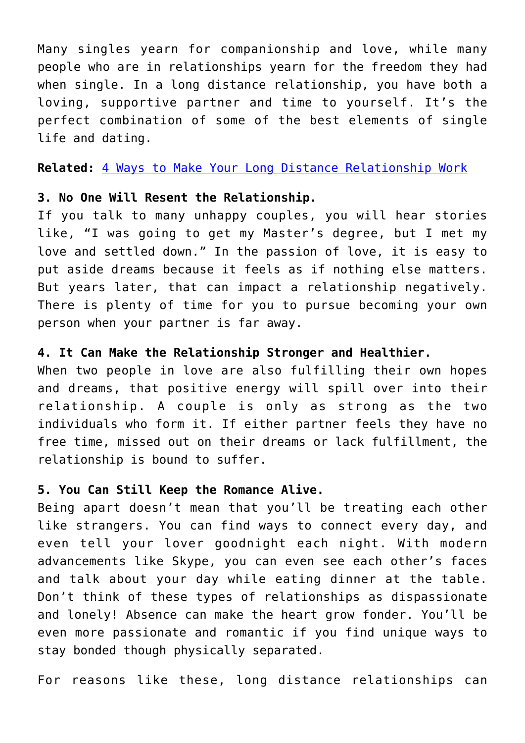Many singles yearn for companionship and love, while many people who are in relationships yearn for the freedom they had when single. In a long distance relationship, you have both a loving, supportive partner and time to yourself. It's the perfect combination of some of the best elements of single life and dating.

**Related:** [4 Ways to Make Your Long Distance Relationship Work](http://cupidspulse.com/ways-make-long-distance-relationship-work/)

#### **3. No One Will Resent the Relationship.**

If you talk to many unhappy couples, you will hear stories like, "I was going to get my Master's degree, but I met my love and settled down." In the passion of love, it is easy to put aside dreams because it feels as if nothing else matters. But years later, that can impact a relationship negatively. There is plenty of time for you to pursue becoming your own person when your partner is far away.

### **4. It Can Make the Relationship Stronger and Healthier.**

When two people in love are also fulfilling their own hopes and dreams, that positive energy will spill over into their relationship. A couple is only as strong as the two individuals who form it. If either partner feels they have no free time, missed out on their dreams or lack fulfillment, the relationship is bound to suffer.

#### **5. You Can Still Keep the Romance Alive.**

Being apart doesn't mean that you'll be treating each other like strangers. You can find ways to connect every day, and even tell your lover goodnight each night. With modern advancements like Skype, you can even see each other's faces and talk about your day while eating dinner at the table. Don't think of these types of relationships as dispassionate and lonely! Absence can make the heart grow fonder. You'll be even more passionate and romantic if you find unique ways to stay bonded though physically separated.

For reasons like these, long distance relationships can